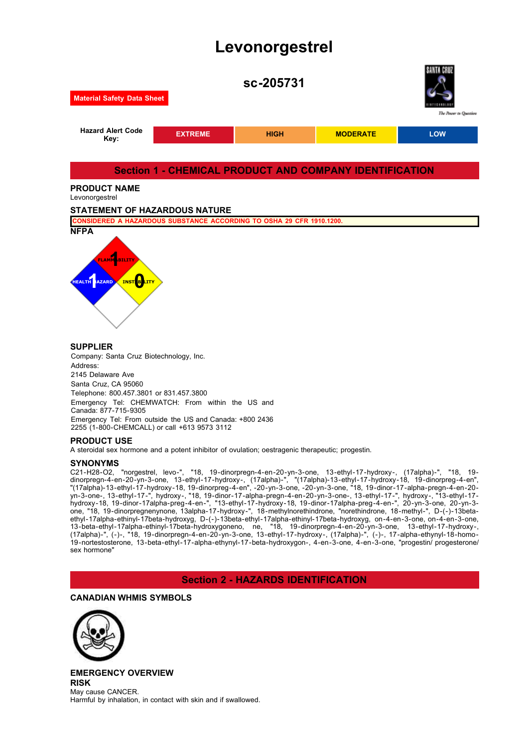# **Levonorgestrel**



2145 Delaware Ave Santa Cruz, CA 95060 Telephone: 800.457.3801 or 831.457.3800 Emergency Tel: CHEMWATCH: From within the US and Canada: 877-715-9305 Emergency Tel: From outside the US and Canada: +800 2436 2255 (1-800-CHEMCALL) or call +613 9573 3112

## **PRODUCT USE**

A steroidal sex hormone and a potent inhibitor of ovulation; oestragenic therapeutic; progestin.

## **SYNONYMS**

C21-H28-O2, "norgestrel, levo-", "18, 19-dinorpregn-4-en-20-yn-3-one, 13-ethyl-17-hydroxy-, (17alpha)-", "18, 19 dinorpregn-4-en-20-yn-3-one, 13-ethyl-17-hydroxy-, (17alpha)-", "(17alpha)-13-ethyl-17-hydroxy-18, 19-dinorpreg-4-en", "(17alpha)-13-ethyl-17-hydroxy-18, 19-dinorpreg-4-en", -20-yn-3-one, -20-yn-3-one, "18, 19-dinor-17-alpha-pregn-4-en-20 yn-3-one-, 13-ethyl-17-", hydroxy-, "18, 19-dinor-17-alpha-pregn-4-en-20-yn-3-one-, 13-ethyl-17-", hydroxy-, "13-ethyl-17 hydroxy-18, 19-dinor-17alpha-preg-4-en-", "13-ethyl-17-hydroxy-18, 19-dinor-17alpha-preg-4-en-", 20-yn-3-one, 20-yn-3 one, "18, 19-dinorpregnenynone, 13alpha-17-hydroxy-", 18-methylnorethindrone, "norethindrone, 18-methyl-", D-(-)-13betaethyl-17alpha-ethinyl-17beta-hydroxyg, D-(-)-13beta-ethyl-17alpha-ethinyl-17beta-hydroxyg, on-4-en-3-one, on-4-en-3-one, 13-beta-ethyl-17alpha-ethinyl-17beta-hydroxygoneno, ne, "18, 19-dinorpregn-4-en-20-yn-3-one, 13-ethyl-17-hydroxy-, (17alpha)-", (-)-, "18, 19-dinorpregn-4-en-20-yn-3-one, 13-ethyl-17-hydroxy-, (17alpha)-", (-)-, 17-alpha-ethynyl-18-homo-19-nortestosterone, 13-beta-ethyl-17-alpha-ethynyl-17-beta-hydroxygon-, 4-en-3-one, 4-en-3-one, "progestin/ progesterone/ sex hormone"

## **Section 2 - HAZARDS IDENTIFICATION**

## **CANADIAN WHMIS SYMBOLS**



**EMERGENCY OVERVIEW RISK** May cause CANCER. Harmful by inhalation, in contact with skin and if swallowed.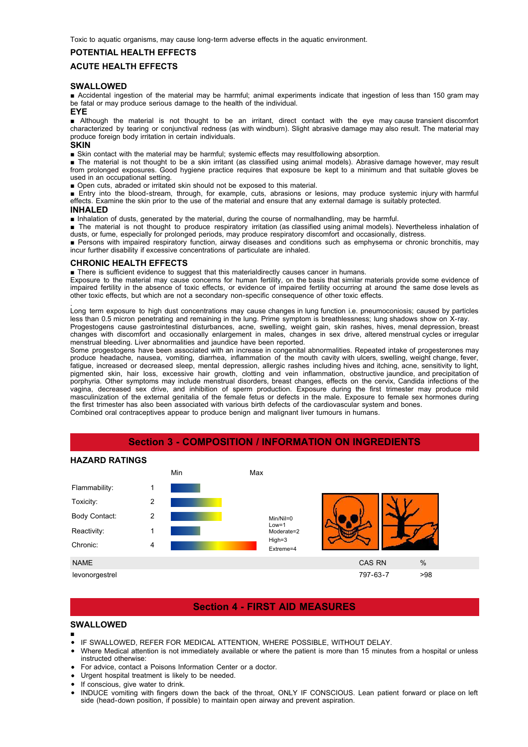Toxic to aquatic organisms, may cause long-term adverse effects in the aquatic environment.

## **POTENTIAL HEALTH EFFECTS**

## **ACUTE HEALTH EFFECTS**

#### **SWALLOWED**

■ Accidental ingestion of the material may be harmful; animal experiments indicate that ingestion of less than 150 gram may be fatal or may produce serious damage to the health of the individual.

## **EYE**

■ Although the material is not thought to be an irritant, direct contact with the eye may cause transient discomfort characterized by tearing or conjunctival redness (as with windburn). Slight abrasive damage may also result. The material may produce foreign body irritation in certain individuals.

## **SKIN**

■ Skin contact with the material may be harmful; systemic effects may resultfollowing absorption.

■ The material is not thought to be a skin irritant (as classified using animal models). Abrasive damage however, may result from prolonged exposures. Good hygiene practice requires that exposure be kept to a minimum and that suitable gloves be used in an occupational setting.

■ Open cuts, abraded or irritated skin should not be exposed to this material.

■ Entry into the blood-stream, through, for example, cuts, abrasions or lesions, may produce systemic injury with harmful effects. Examine the skin prior to the use of the material and ensure that any external damage is suitably protected.

#### **INHALED**

■ Inhalation of dusts, generated by the material, during the course of normalhandling, may be harmful.

■ The material is not thought to produce respiratory irritation (as classified using animal models). Nevertheless inhalation of dusts, or fume, especially for prolonged periods, may produce respiratory discomfort and occasionally, distress.

■ Persons with impaired respiratory function, airway diseases and conditions such as emphysema or chronic bronchitis, may incur further disability if excessive concentrations of particulate are inhaled.

#### **CHRONIC HEALTH EFFECTS**

■ There is sufficient evidence to suggest that this materialdirectly causes cancer in humans.

Exposure to the material may cause concerns for human fertility, on the basis that similar materials provide some evidence of impaired fertility in the absence of toxic effects, or evidence of impaired fertility occurring at around the same dose levels as other toxic effects, but which are not a secondary non-specific consequence of other toxic effects.

. Long term exposure to high dust concentrations may cause changes in lung function i.e. pneumoconiosis; caused by particles less than 0.5 micron penetrating and remaining in the lung. Prime symptom is breathlessness; lung shadows show on X-ray. Progestogens cause gastrointestinal disturbances, acne, swelling, weight gain, skin rashes, hives, menal depression, breast changes with discomfort and occasionally enlargement in males, changes in sex drive, altered menstrual cycles or irregular menstrual bleeding. Liver abnormalities and jaundice have been reported.

Some progestogens have been associated with an increase in congenital abnormalities. Repeated intake of progesterones may produce headache, nausea, vomiting, diarrhea, inflammation of the mouth cavity with ulcers, swelling, weight change, fever, fatigue, increased or decreased sleep, mental depression, allergic rashes including hives and itching, acne, sensitivity to light, pigmented skin, hair loss, excessive hair growth, clotting and vein inflammation, obstructive jaundice, and precipitation of porphyria. Other symptoms may include menstrual disorders, breast changes, effects on the cervix, Candida infections of the vagina, decreased sex drive, and inhibition of sperm production. Exposure during the first trimester may produce mild masculinization of the external genitalia of the female fetus or defects in the male. Exposure to female sex hormones during the first trimester has also been associated with various birth defects of the cardiovascular system and bones. Combined oral contraceptives appear to produce benign and malignant liver tumours in humans.



## levonorgestrel 797-63-7 >98

Chronic: 4

# **Section 4 - FIRST AID MEASURES**

NAME CAS RN  $\sim$  % and the case of the case of the case of the case of the case of the case of the case of the case of the case of the case of the case of the case of the case of the case of the case of the case of the cas

High=3 Extreme=4

## **SWALLOWED**

- IF SWALLOWED, REFER FOR MEDICAL ATTENTION, WHERE POSSIBLE, WITHOUT DELAY.
	- Where Medical attention is not immediately available or where the patient is more than 15 minutes from a hospital or unless instructed otherwise:
	- For advice, contact a Poisons Information Center or a doctor.
	- Urgent hospital treatment is likely to be needed.
	- If conscious, give water to drink.
	- INDUCE vomiting with fingers down the back of the throat, ONLY IF CONSCIOUS. Lean patient forward or place on left side (head-down position, if possible) to maintain open airway and prevent aspiration.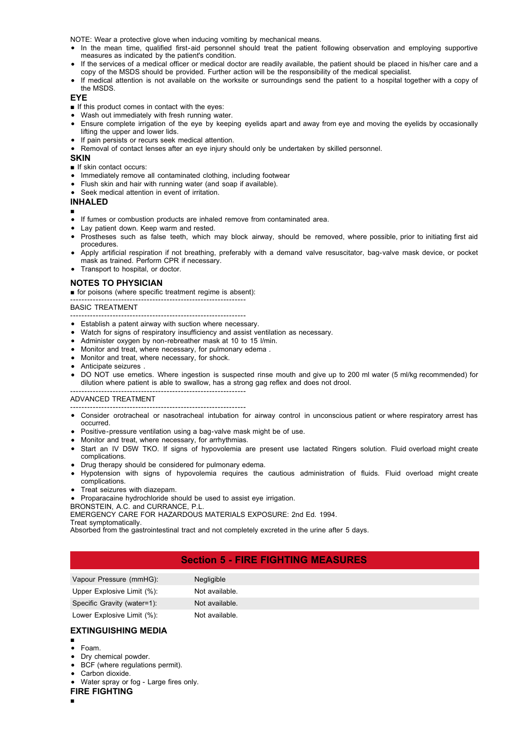NOTE: Wear a protective glove when inducing vomiting by mechanical means.

- In the mean time, qualified first-aid personnel should treat the patient following observation and employing supportive measures as indicated by the patient's condition.
- If the services of a medical officer or medical doctor are readily available, the patient should be placed in his/her care and a copy of the MSDS should be provided. Further action will be the responsibility of the medical specialist.
- If medical attention is not available on the worksite or surroundings send the patient to a hospital together with a copy of the MSDS.

#### **EYE**

- If this product comes in contact with the eyes:
- Wash out immediately with fresh running water.
- Ensure complete irrigation of the eye by keeping eyelids apart and away from eye and moving the eyelids by occasionally lifting the upper and lower lids.
- If pain persists or recurs seek medical attention.
- Removal of contact lenses after an eye injury should only be undertaken by skilled personnel.

#### **SKIN**

- If skin contact occurs:
- Immediately remove all contaminated clothing, including footwear
- Flush skin and hair with running water (and soap if available).
- Seek medical attention in event of irritation

## **INHALED**

- • If fumes or combustion products are inhaled remove from contaminated area.
- Lay patient down. Keep warm and rested.
- Prostheses such as false teeth, which may block airway, should be removed, where possible, prior to initiating first aid procedures.
- Apply artificial respiration if not breathing, preferably with a demand valve resuscitator, bag-valve mask device, or pocket mask as trained. Perform CPR if necessary.
- Transport to hospital, or doctor.

## **NOTES TO PHYSICIAN**

■ for poisons (where specific treatment regime is absent):

#### -------------------------------------------------------------- BASIC TREATMENT

- -------------------------------------------------------------- Establish a patent airway with suction where necessary.
- Watch for signs of respiratory insufficiency and assist ventilation as necessary.
- Administer oxygen by non-rebreather mask at 10 to 15 l/min.
- Monitor and treat, where necessary, for pulmonary edema .
- Monitor and treat, where necessary, for shock.

--------------------------------------------------------------

- Anticipate seizures .
- DO NOT use emetics. Where ingestion is suspected rinse mouth and give up to 200 ml water (5 ml/kg recommended) for dilution where patient is able to swallow, has a strong gag reflex and does not drool.

#### ADVANCED TREATMENT

- -------------------------------------------------------------- Consider orotracheal or nasotracheal intubation for airway control in unconscious patient or where respiratory arrest has occurred.
- Positive-pressure ventilation using a bag-valve mask might be of use.
- Monitor and treat, where necessary, for arrhythmias.
- Start an IV D5W TKO. If signs of hypovolemia are present use lactated Ringers solution. Fluid overload might create complications.
- Drug therapy should be considered for pulmonary edema.
- Hypotension with signs of hypovolemia requires the cautious administration of fluids. Fluid overload might create complications.
- Treat seizures with diazepam.
- Proparacaine hydrochloride should be used to assist eye irrigation.
- BRONSTEIN, A.C. and CURRANCE, P.L.

EMERGENCY CARE FOR HAZARDOUS MATERIALS EXPOSURE: 2nd Ed. 1994.

#### Treat symptomatically.

Absorbed from the gastrointestinal tract and not completely excreted in the urine after 5 days.

## **Section 5 - FIRE FIGHTING MEASURES**

| Vapour Pressure (mmHG):     | Negligible     |
|-----------------------------|----------------|
| Upper Explosive Limit (%):  | Not available. |
| Specific Gravity (water=1): | Not available. |

## Lower Explosive Limit (%): Not available.

## **EXTINGUISHING MEDIA**

- Foam.
- Dry chemical powder.
- BCF (where regulations permit).
- Carbon dioxide.
- Water spray or fog Large fires only.
- **FIRE FIGHTING**
- ■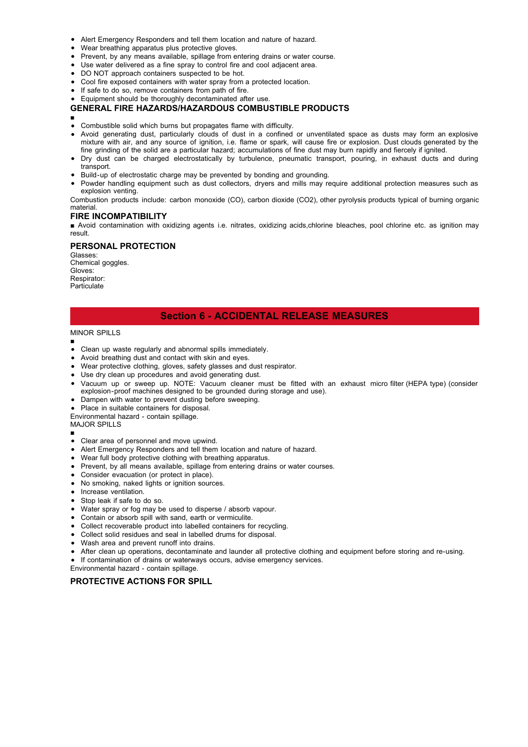- Alert Emergency Responders and tell them location and nature of hazard.
- Wear breathing apparatus plus protective gloves.
- Prevent, by any means available, spillage from entering drains or water course.
- Use water delivered as a fine spray to control fire and cool adjacent area.
- DO NOT approach containers suspected to be hot.
- Cool fire exposed containers with water spray from a protected location.
- If safe to do so, remove containers from path of fire.
- Equipment should be thoroughly decontaminated after use.

#### **GENERAL FIRE HAZARDS/HAZARDOUS COMBUSTIBLE PRODUCTS**

■

- Combustible solid which burns but propagates flame with difficulty.
- Avoid generating dust, particularly clouds of dust in a confined or unventilated space as dusts may form an explosive mixture with air, and any source of ignition, i.e. flame or spark, will cause fire or explosion. Dust clouds generated by the fine grinding of the solid are a particular hazard; accumulations of fine dust may burn rapidly and fiercely if ignited.
- Dry dust can be charged electrostatically by turbulence, pneumatic transport, pouring, in exhaust ducts and during transport.
- Build-up of electrostatic charge may be prevented by bonding and grounding.
- Powder handling equipment such as dust collectors, dryers and mills may require additional protection measures such as explosion venting.
- Combustion products include: carbon monoxide (CO), carbon dioxide (CO2), other pyrolysis products typical of burning organic material.

#### **FIRE INCOMPATIBILITY**

■ Avoid contamination with oxidizing agents i.e. nitrates, oxidizing acids,chlorine bleaches, pool chlorine etc. as ignition may result.

#### **PERSONAL PROTECTION**

Glasses: Chemical goggles. Gloves: Respirator: **Particulate** 

## **Section 6 - ACCIDENTAL RELEASE MEASURES**

#### MINOR SPILLS

- ■
- Clean up waste regularly and abnormal spills immediately.
- Avoid breathing dust and contact with skin and eyes.
- Wear protective clothing, gloves, safety glasses and dust respirator.
- Use dry clean up procedures and avoid generating dust.
- Vacuum up or sweep up. NOTE: Vacuum cleaner must be fitted with an exhaust micro filter (HEPA type) (consider explosion-proof machines designed to be grounded during storage and use).
- Dampen with water to prevent dusting before sweeping.
- Place in suitable containers for disposal.
- Environmental hazard contain spillage.

## MAJOR SPILLS

- ■
- Clear area of personnel and move upwind.
- Alert Emergency Responders and tell them location and nature of hazard.
- Wear full body protective clothing with breathing apparatus.
- Prevent, by all means available, spillage from entering drains or water courses.
- Consider evacuation (or protect in place).
- No smoking, naked lights or ignition sources.
- Increase ventilation.
- Stop leak if safe to do so.
- Water spray or fog may be used to disperse / absorb vapour.
- Contain or absorb spill with sand, earth or vermiculite.
- Collect recoverable product into labelled containers for recycling.
- Collect solid residues and seal in labelled drums for disposal.
- Wash area and prevent runoff into drains.
- After clean up operations, decontaminate and launder all protective clothing and equipment before storing and re-using.
- If contamination of drains or waterways occurs, advise emergency services.
- Environmental hazard contain spillage.

#### **PROTECTIVE ACTIONS FOR SPILL**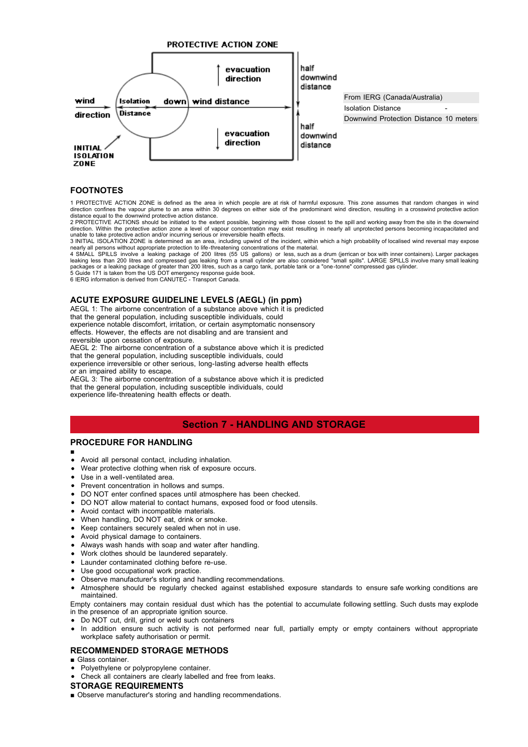

## **FOOTNOTES**

1 PROTECTIVE ACTION ZONE is defined as the area in which people are at risk of harmful exposure. This zone assumes that random changes in wind direction confines the vapour plume to an area within 30 degrees on either side of the predominant wind direction, resulting in a crosswind protective action

distance equal to the downwind protective action distance. 2 PROTECTIVE ACTIONS should be initiated to the extent possible, beginning with those closest to the spill and working away from the site in the downwind direction. Within the protective action zone a level of vapour concentration may exist resulting in nearly all unprotected persons becoming incapacitated and<br>unable to take protective action and/or incurring serious or irr

3 INITIAL ISOLATION ZONE is determined as an area, including upwind of the incident, within which a high probability of localised wind reversal may expose<br>nearly all persons without appropriate protection to life-threateni

leaking less than 200 litres and compressed gas leaking from a small cylinder are also considered "small spills". LARGE SPILLS involve many small leaking<br>packages or a leaking package of greater than 200 litres, such as a

5 Guide 171 is taken from the US DOT emergency response guide book. 6 IERG information is derived from CANUTEC - Transport Canada.

#### **ACUTE EXPOSURE GUIDELINE LEVELS (AEGL) (in ppm)**

AEGL 1: The airborne concentration of a substance above which it is predicted that the general population, including susceptible individuals, could experience notable discomfort, irritation, or certain asymptomatic nonsensory effects. However, the effects are not disabling and are transient and

reversible upon cessation of exposure.

AEGL 2: The airborne concentration of a substance above which it is predicted

that the general population, including susceptible individuals, could experience irreversible or other serious, long-lasting adverse health effects or an impaired ability to escape.

AEGL 3: The airborne concentration of a substance above which it is predicted that the general population, including susceptible individuals, could experience life-threatening health effects or death.

## **Section 7 - HANDLING AND STORAGE**

## **PROCEDURE FOR HANDLING**

- ■
- Avoid all personal contact, including inhalation.
- Wear protective clothing when risk of exposure occurs.
- Use in a well-ventilated area.
- Prevent concentration in hollows and sumps.
- DO NOT enter confined spaces until atmosphere has been checked.
- DO NOT allow material to contact humans, exposed food or food utensils.
- Avoid contact with incompatible materials.
- When handling, DO NOT eat, drink or smoke.
- Keep containers securely sealed when not in use.
- Avoid physical damage to containers.
- Always wash hands with soap and water after handling.
- Work clothes should be laundered separately.
- Launder contaminated clothing before re-use.
- Use good occupational work practice.
- Observe manufacturer's storing and handling recommendations.
- Atmosphere should be regularly checked against established exposure standards to ensure safe working conditions are maintained.

Empty containers may contain residual dust which has the potential to accumulate following settling. Such dusts may explode in the presence of an appropriate ignition source.

- Do NOT cut, drill, grind or weld such containers
- In addition ensure such activity is not performed near full, partially empty or empty containers without appropriate workplace safety authorisation or permit.

## **RECOMMENDED STORAGE METHODS**

- Glass container.
- Polyethylene or polypropylene container.
- Check all containers are clearly labelled and free from leaks.

#### **STORAGE REQUIREMENTS**

■ Observe manufacturer's storing and handling recommendations.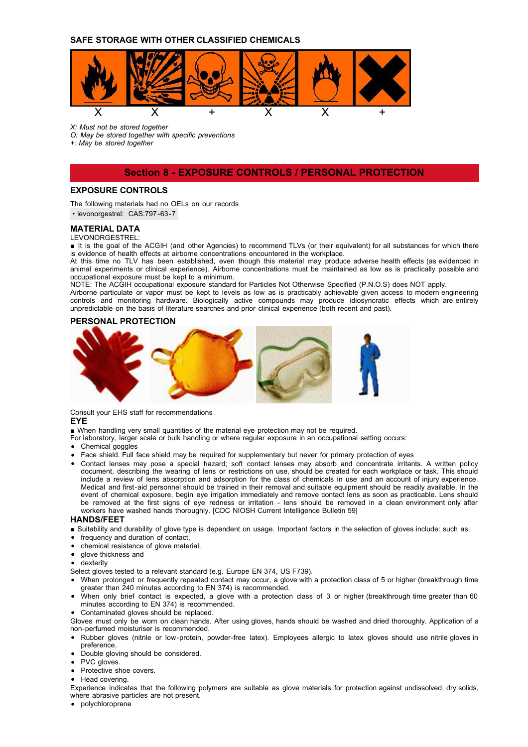## **SAFE STORAGE WITH OTHER CLASSIFIED CHEMICALS**



*X: Must not be stored together*

*O: May be stored together with specific preventions*

*+: May be stored together*

## **Section 8 - EXPOSURE CONTROLS / PERSONAL PROTECTION**

## **EXPOSURE CONTROLS**

The following materials had no OELs on our records

• levonorgestrel: CAS:797-63-7

## **MATERIAL DATA**

LEVONORGESTREL:

■ It is the goal of the ACGIH (and other Agencies) to recommend TLVs (or their equivalent) for all substances for which there is evidence of health effects at airborne concentrations encountered in the workplace.

At this time no TLV has been established, even though this material may produce adverse health effects (as evidenced in animal experiments or clinical experience). Airborne concentrations must be maintained as low as is practically possible and occupational exposure must be kept to a minimum.

NOTE: The ACGIH occupational exposure standard for Particles Not Otherwise Specified (P.N.O.S) does NOT apply.

Airborne particulate or vapor must be kept to levels as low as is practicably achievable given access to modern engineering controls and monitoring hardware. Biologically active compounds may produce idiosyncratic effects which are entirely unpredictable on the basis of literature searches and prior clinical experience (both recent and past).

#### **PERSONAL PROTECTION**



Consult your EHS staff for recommendations

## **EYE**

■ When handling very small quantities of the material eye protection may not be required.

- For laboratory, larger scale or bulk handling or where regular exposure in an occupational setting occurs:
- Chemical goggles
- Face shield. Full face shield may be required for supplementary but never for primary protection of eyes
- Contact lenses may pose a special hazard; soft contact lenses may absorb and concentrate irritants. A written policy document, describing the wearing of lens or restrictions on use, should be created for each workplace or task. This should include a review of lens absorption and adsorption for the class of chemicals in use and an account of injury experience. Medical and first-aid personnel should be trained in their removal and suitable equipment should be readily available. In the event of chemical exposure, begin eye irrigation immediately and remove contact lens as soon as practicable. Lens should be removed at the first signs of eye redness or irritation - lens should be removed in a clean environment only after workers have washed hands thoroughly. [CDC NIOSH Current Intelligence Bulletin 59]

#### **HANDS/FEET**

- Suitability and durability of glove type is dependent on usage. Important factors in the selection of gloves include: such as:
- frequency and duration of contact,
- chemical resistance of glove material,
- glove thickness and
- dexterity
- Select gloves tested to a relevant standard (e.g. Europe EN 374, US F739).
- When prolonged or frequently repeated contact may occur, a glove with a protection class of 5 or higher (breakthrough time greater than 240 minutes according to EN 374) is recommended.
- When only brief contact is expected, a glove with a protection class of 3 or higher (breakthrough time greater than 60 minutes according to EN 374) is recommended.
- Contaminated gloves should be replaced.

Gloves must only be worn on clean hands. After using gloves, hands should be washed and dried thoroughly. Application of a non-perfumed moisturiser is recommended.

- Rubber gloves (nitrile or low-protein, powder-free latex). Employees allergic to latex gloves should use nitrile gloves in preference.
- Double gloving should be considered.
- PVC gloves.
- Protective shoe covers.
- Head covering.

Experience indicates that the following polymers are suitable as glove materials for protection against undissolved, dry solids, where abrasive particles are not present.

polychloroprene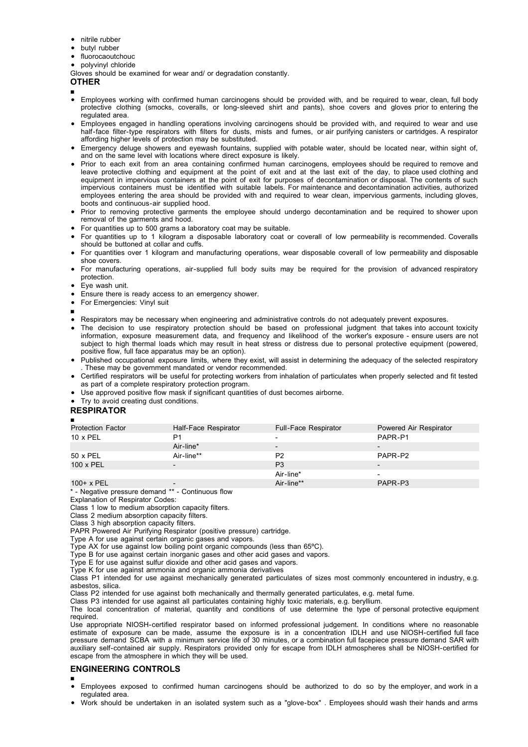- nitrile rubber
- butyl rubber
- fluorocaoutchouc
- polyvinyl chloride

Gloves should be examined for wear and/ or degradation constantly.

## **OTHER**

- ■
- Employees working with confirmed human carcinogens should be provided with, and be required to wear, clean, full body protective clothing (smocks, coveralls, or long-sleeved shirt and pants), shoe covers and gloves prior to entering the regulated area.
- Employees engaged in handling operations involving carcinogens should be provided with, and required to wear and use half-face filter-type respirators with filters for dusts, mists and fumes, or air purifying canisters or cartridges. A respirator affording higher levels of protection may be substituted.
- Emergency deluge showers and eyewash fountains, supplied with potable water, should be located near, within sight of, and on the same level with locations where direct exposure is likely.
- Prior to each exit from an area containing confirmed human carcinogens, employees should be required to remove and leave protective clothing and equipment at the point of exit and at the last exit of the day, to place used clothing and equipment in impervious containers at the point of exit for purposes of decontamination or disposal. The contents of such impervious containers must be identified with suitable labels. For maintenance and decontamination activities, authorized employees entering the area should be provided with and required to wear clean, impervious garments, including gloves, boots and continuous-air supplied hood.
- Prior to removing protective garments the employee should undergo decontamination and be required to shower upon removal of the garments and hood.
- For quantities up to 500 grams a laboratory coat may be suitable.
- For quantities up to 1 kilogram a disposable laboratory coat or coverall of low permeability is recommended. Coveralls should be buttoned at collar and cuffs.
- For quantities over 1 kilogram and manufacturing operations, wear disposable coverall of low permeability and disposable shoe covers.
- For manufacturing operations, air-supplied full body suits may be required for the provision of advanced respiratory protection.
- Eye wash unit.
- Ensure there is ready access to an emergency shower.
- For Emergencies: Vinyl suit
- ■
- Respirators may be necessary when engineering and administrative controls do not adequately prevent exposures.
- $\bullet$ The decision to use respiratory protection should be based on professional judgment that takes into account toxicity information, exposure measurement data, and frequency and likelihood of the worker's exposure - ensure users are not subject to high thermal loads which may result in heat stress or distress due to personal protective equipment (powered, positive flow, full face apparatus may be an option).
- Published occupational exposure limits, where they exist, will assist in determining the adequacy of the selected respiratory . These may be government mandated or vendor recommended.
- Certified respirators will be useful for protecting workers from inhalation of particulates when properly selected and fit tested as part of a complete respiratory protection program.
- Use approved positive flow mask if significant quantities of dust becomes airborne.
- Try to avoid creating dust conditions.

## **RESPIRATOR**

| п                                                  |                          |                      |                          |
|----------------------------------------------------|--------------------------|----------------------|--------------------------|
| <b>Protection Factor</b>                           | Half-Face Respirator     | Full-Face Respirator | Powered Air Respirator   |
| $10 \times PEL$                                    | P1                       |                      | PAPR-P1                  |
|                                                    | Air-line*                |                      | $\overline{\phantom{0}}$ |
| 50 x PEL                                           | Air-line**               | P <sub>2</sub>       | PAPR-P2                  |
| 100 x PEL                                          |                          | P <sub>3</sub>       | $\overline{\phantom{0}}$ |
|                                                    |                          | Air-line*            | $\overline{\phantom{0}}$ |
| $100+ x PEL$                                       | $\overline{\phantom{0}}$ | Air-line**           | PAPR-P3                  |
| * Newstine processes depressed ** Captions of flam |                          |                      |                          |

- Negative pressure demand \*\* - Continuous flow

Explanation of Respirator Codes: Class 1 low to medium absorption capacity filters.

Class 2 medium absorption capacity filters.

Class 3 high absorption capacity filters.

PAPR Powered Air Purifying Respirator (positive pressure) cartridge.

Type A for use against certain organic gases and vapors.

Type AX for use against low boiling point organic compounds (less than 65ºC).

Type B for use against certain inorganic gases and other acid gases and vapors.

Type E for use against sulfur dioxide and other acid gases and vapors.

Type K for use against ammonia and organic ammonia derivatives

Class P1 intended for use against mechanically generated particulates of sizes most commonly encountered in industry, e.g. asbestos, silica.

Class P2 intended for use against both mechanically and thermally generated particulates, e.g. metal fume.

Class P3 intended for use against all particulates containing highly toxic materials, e.g. beryllium.

The local concentration of material, quantity and conditions of use determine the type of personal protective equipment required.

Use appropriate NIOSH-certified respirator based on informed professional judgement. In conditions where no reasonable estimate of exposure can be made, assume the exposure is in a concentration IDLH and use NIOSH-certified full face pressure demand SCBA with a minimum service life of 30 minutes, or a combination full facepiece pressure demand SAR with auxiliary self-contained air supply. Respirators provided only for escape from IDLH atmospheres shall be NIOSH-certified for escape from the atmosphere in which they will be used.

## **ENGINEERING CONTROLS**

- Employees exposed to confirmed human carcinogens should be authorized to do so by the employer, and work in a regulated area.
- Work should be undertaken in an isolated system such as a "glove-box" . Employees should wash their hands and arms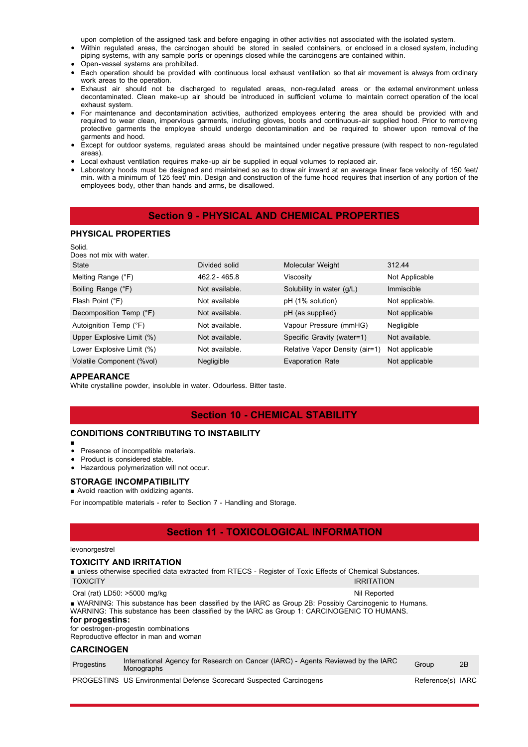upon completion of the assigned task and before engaging in other activities not associated with the isolated system.

- Within regulated areas, the carcinogen should be stored in sealed containers, or enclosed in a closed system, including piping systems, with any sample ports or openings closed while the carcinogens are contained within.
- Open-vessel systems are prohibited.
- Each operation should be provided with continuous local exhaust ventilation so that air movement is always from ordinary work areas to the operation.
- Exhaust air should not be discharged to regulated areas, non-regulated areas or the external environment unless decontaminated. Clean make-up air should be introduced in sufficient volume to maintain correct operation of the local exhaust system.
- For maintenance and decontamination activities, authorized employees entering the area should be provided with and required to wear clean, impervious garments, including gloves, boots and continuous-air supplied hood. Prior to removing protective garments the employee should undergo decontamination and be required to shower upon removal of the garments and hood.
- Except for outdoor systems, regulated areas should be maintained under negative pressure (with respect to non-regulated areas).
- Local exhaust ventilation requires make-up air be supplied in equal volumes to replaced air.
- Laboratory hoods must be designed and maintained so as to draw air inward at an average linear face velocity of 150 feet/ min. with a minimum of 125 feet/ min. Design and construction of the fume hood requires that insertion of any portion of the employees body, other than hands and arms, be disallowed.

## **Section 9 - PHYSICAL AND CHEMICAL PROPERTIES**

#### **PHYSICAL PROPERTIES**

| Solid.<br>Does not mix with water. |                |                                |                 |
|------------------------------------|----------------|--------------------------------|-----------------|
| State                              | Divided solid  | Molecular Weight               | 312.44          |
| Melting Range (°F)                 | 462.2-465.8    | Viscosity                      | Not Applicable  |
| Boiling Range (°F)                 | Not available. | Solubility in water (g/L)      | Immiscible      |
| Flash Point (°F)                   | Not available  | pH (1% solution)               | Not applicable. |
| Decomposition Temp (°F)            | Not available. | pH (as supplied)               | Not applicable  |
| Autoignition Temp (°F)             | Not available. | Vapour Pressure (mmHG)         | Negligible      |
| Upper Explosive Limit (%)          | Not available. | Specific Gravity (water=1)     | Not available.  |
| Lower Explosive Limit (%)          | Not available. | Relative Vapor Density (air=1) | Not applicable  |
| Volatile Component (%vol)          | Negligible     | <b>Evaporation Rate</b>        | Not applicable  |

#### **APPEARANCE**

White crystalline powder, insoluble in water. Odourless. Bitter taste.

## **Section 10 - CHEMICAL STABILITY**

## **CONDITIONS CONTRIBUTING TO INSTABILITY**

■

## • Presence of incompatible materials.

- Product is considered stable.
- Hazardous polymerization will not occur.

#### **STORAGE INCOMPATIBILITY**

#### ■ Avoid reaction with oxidizing agents.

For incompatible materials - refer to Section 7 - Handling and Storage.

## **Section 11 - TOXICOLOGICAL INFORMATION**

#### levonorgestrel

## **TOXICITY AND IRRITATION**

■ unless otherwise specified data extracted from RTECS - Register of Toxic Effects of Chemical Substances. TOXICITY IRRITATION

| Oral (rat) LD50: >5000 mg/kg                                                                                                                                                                           | Nil Reported |
|--------------------------------------------------------------------------------------------------------------------------------------------------------------------------------------------------------|--------------|
| ■ WARNING: This substance has been classified by the IARC as Group 2B: Possibly Carcinogenic to Humans.<br>WARNING: This substance has been classified by the IARC as Group 1: CARCINOGENIC TO HUMANS. |              |
| for progestins:                                                                                                                                                                                        |              |
| for oestrogen-progestin combinations                                                                                                                                                                   |              |

Reproductive effector in man and woman

#### **CARCINOGEN**

| Progestins | Monographs |  |  | International Agency for Research on Cancer (IARC) - Agents Reviewed by the IARC | Group | 2B                 |
|------------|------------|--|--|----------------------------------------------------------------------------------|-------|--------------------|
| $\sqrt{2}$ |            |  |  |                                                                                  |       | $\cdot$ . $\sim$ . |

PROGESTINS US Environmental Defense Scorecard Suspected Carcinogens Reference(s) IARC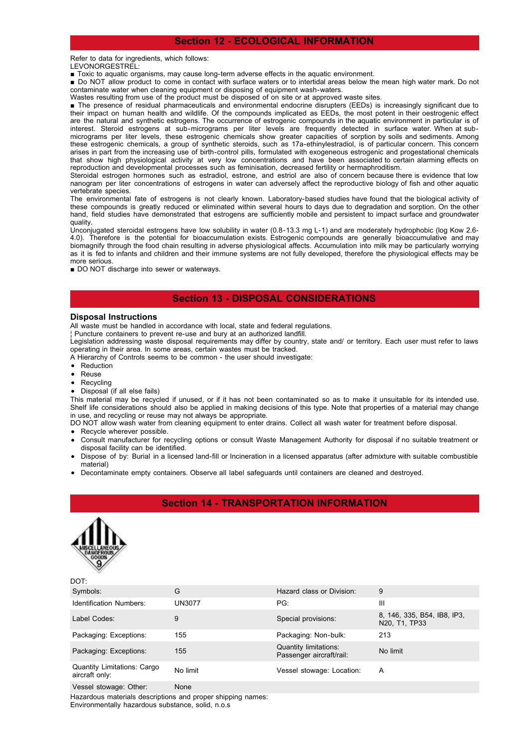## **Section 12 - ECOLOGICAL INFORMATION**

#### Refer to data for ingredients, which follows:

- LEVONORGESTREL:
- Toxic to aquatic organisms, may cause long-term adverse effects in the aquatic environment.
- Do NOT allow product to come in contact with surface waters or to intertidal areas below the mean high water mark. Do not contaminate water when cleaning equipment or disposing of equipment wash-waters.

Wastes resulting from use of the product must be disposed of on site or at approved waste sites.

■ The presence of residual pharmaceuticals and environmental endocrine disrupters (EEDs) is increasingly significant due to their impact on human health and wildlife. Of the compounds implicated as EEDs, the most potent in their oestrogenic effect are the natural and synthetic estrogens. The occurrence of estrogenic compounds in the aquatic environment in particular is of interest. Steroid estrogens at sub-micrograms per liter levels are frequently detected in surface water. When at submicrograms per liter levels, these estrogenic chemicals show greater capacities of sorption by soils and sediments. Among these estrogenic chemicals, a group of synthetic steroids, such as 17a-ethinylestradiol, is of particular concern. This concern arises in part from the increasing use of birth-control pills, formulated with exogeneous estrogenic and progestational chemicals that show high physiological activity at very low concentrations and have been associated to certain alarming effects on reproduction and developmental processes such as feminisation, decreased fertility or hermaphroditism.

Steroidal estrogen hormones such as estradiol, estrone, and estriol are also of concern because there is evidence that low nanogram per liter concentrations of estrogens in water can adversely affect the reproductive biology of fish and other aquatic vertebrate species.

The environmental fate of estrogens is not clearly known. Laboratory-based studies have found that the biological activity of these compounds is greatly reduced or eliminated within several hours to days due to degradation and sorption. On the other hand, field studies have demonstrated that estrogens are sufficiently mobile and persistent to impact surface and groundwater quality.

Unconjugated steroidal estrogens have low solubility in water (0.8-13.3 mg L-1) and are moderately hydrophobic (log Kow 2.6- 4.0). Therefore is the potential for bioaccumulation exists. Estrogenic compounds are generally bioaccumulative and may biomagnify through the food chain resulting in adverse physiological affects. Accumulation into milk may be particularly worrying as it is fed to infants and children and their immune systems are not fully developed, therefore the physiological effects may be more serious.

■ DO NOT discharge into sewer or waterways.

## **Section 13 - DISPOSAL CONSIDERATIONS**

#### **Disposal Instructions**

All waste must be handled in accordance with local, state and federal regulations.

¦ Puncture containers to prevent re-use and bury at an authorized landfill.

Legislation addressing waste disposal requirements may differ by country, state and/ or territory. Each user must refer to laws operating in their area. In some areas, certain wastes must be tracked.

A Hierarchy of Controls seems to be common - the user should investigate:

- Reduction
- Reuse
- Recycling  $\bullet$
- Disposal (if all else fails)

This material may be recycled if unused, or if it has not been contaminated so as to make it unsuitable for its intended use. Shelf life considerations should also be applied in making decisions of this type. Note that properties of a material may change in use, and recycling or reuse may not always be appropriate.

DO NOT allow wash water from cleaning equipment to enter drains. Collect all wash water for treatment before disposal.

- Recycle wherever possible.
- Consult manufacturer for recycling options or consult Waste Management Authority for disposal if no suitable treatment or disposal facility can be identified.
- Dispose of by: Burial in a licensed land-fill or Incineration in a licensed apparatus (after admixture with suitable combustible material)
- Decontaminate empty containers. Observe all label safeguards until containers are cleaned and destroyed.

## **Section 14 - TRANSPORTATION INFORMATION**



 $DOT$ 

| Symbols:                                             | G        | Hazard class or Division:                         | 9                                            |
|------------------------------------------------------|----------|---------------------------------------------------|----------------------------------------------|
| <b>Identification Numbers:</b>                       | UN3077   | PG:                                               | Ш                                            |
| Label Codes:                                         | 9        | Special provisions:                               | 8, 146, 335, B54, IB8, IP3,<br>N20, T1, TP33 |
| Packaging: Exceptions:                               | 155      | Packaging: Non-bulk:                              | 213                                          |
| Packaging: Exceptions:                               | 155      | Quantity limitations:<br>Passenger aircraft/rail: | No limit                                     |
| <b>Quantity Limitations: Cargo</b><br>aircraft only: | No limit | Vessel stowage: Location:                         | A                                            |
| Vessel stowage: Other:                               | None     |                                                   |                                              |

Hazardous materials descriptions and proper shipping names: Environmentally hazardous substance, solid, n.o.s